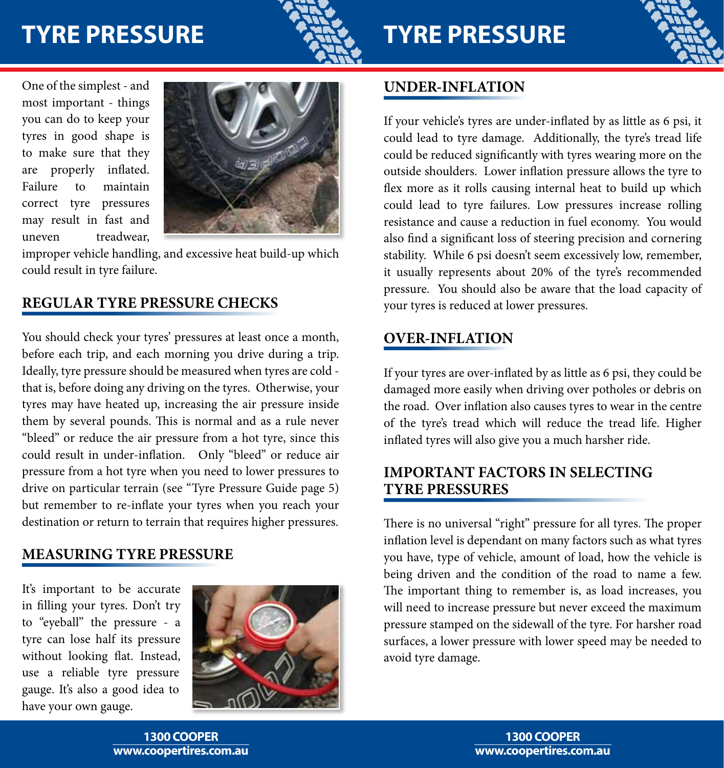# **TYRE PRESSURE**



# **TYRE PRESSURE**



One of the simplest - and most important - things you can do to keep your tyres in good shape is to make sure that they are properly inflated. Failure to maintain correct tyre pressures may result in fast and uneven treadwear,



improper vehicle handling, and excessive heat build-up which could result in tyre failure.

#### **REGULAR TYRE PRESSURE CHECKS**

You should check your tyres' pressures at least once a month, before each trip, and each morning you drive during a trip. Ideally, tyre pressure should be measured when tyres are cold that is, before doing any driving on the tyres. Otherwise, your tyres may have heated up, increasing the air pressure inside them by several pounds. This is normal and as a rule never "bleed" or reduce the air pressure from a hot tyre, since this could result in under-inflation. Only "bleed" or reduce air pressure from a hot tyre when you need to lower pressures to drive on particular terrain (see "Tyre Pressure Guide page 5) but remember to re-inflate your tyres when you reach your destination or return to terrain that requires higher pressures.

#### **MEASURING TYRE PRESSURE**

It's important to be accurate in filling your tyres. Don't try to "eyeball" the pressure - a tyre can lose half its pressure without looking flat. Instead, use a reliable tyre pressure gauge. It's also a good idea to have your own gauge.



#### **UNDER-INFLATION**

If your vehicle's tyres are under-inflated by as little as 6 psi, it could lead to tyre damage. Additionally, the tyre's tread life could be reduced significantly with tyres wearing more on the outside shoulders. Lower inflation pressure allows the tyre to flex more as it rolls causing internal heat to build up which could lead to tyre failures. Low pressures increase rolling resistance and cause a reduction in fuel economy. You would also find a significant loss of steering precision and cornering stability. While 6 psi doesn't seem excessively low, remember, it usually represents about 20% of the tyre's recommended pressure. You should also be aware that the load capacity of your tyres is reduced at lower pressures.

#### **OVER-INFLATION**

If your tyres are over-inflated by as little as 6 psi, they could be damaged more easily when driving over potholes or debris on the road. Over inflation also causes tyres to wear in the centre of the tyre's tread which will reduce the tread life. Higher inflated tyres will also give you a much harsher ride.

#### **IMPORTANT FACTORS IN SELECTING TYRE PRESSURES**

There is no universal "right" pressure for all tyres. The proper inflation level is dependant on many factors such as what tyres you have, type of vehicle, amount of load, how the vehicle is being driven and the condition of the road to name a few. The important thing to remember is, as load increases, you will need to increase pressure but never exceed the maximum pressure stamped on the sidewall of the tyre. For harsher road surfaces, a lower pressure with lower speed may be needed to avoid tyre damage.

**www.coopertires.com.au 1300 COOPER**

**www.coopertires.com.au 1300 COOPER**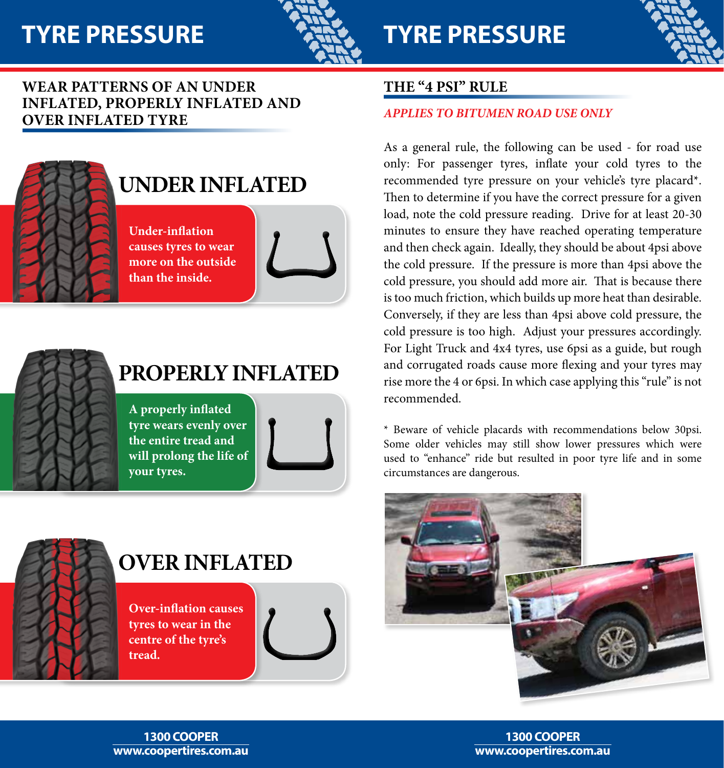

# **TYRE PRESSURE**



#### **Wear patterns of an under inflated, properly inflated and over inflated tyre**



## **UNDER INFLATED**

**Under-inflation causes tyres to wear more on the outside than the inside.**



# **PROPERLY INFLATED**

**A properly inflated tyre wears evenly over the entire tread and will prolong the life of your tyres.**



## **OVER INFLATED**

**Over-inflation causes tyres to wear in the centre of the tyre's tread.**



#### **THE "4 PSI" RULE**

#### *APPLIES TO BITUMEN ROAD USE ONLY*

As a general rule, the following can be used - for road use only: For passenger tyres, inflate your cold tyres to the recommended tyre pressure on your vehicle's tyre placard\*. Then to determine if you have the correct pressure for a given load, note the cold pressure reading. Drive for at least 20-30 minutes to ensure they have reached operating temperature and then check again. Ideally, they should be about 4psi above the cold pressure. If the pressure is more than 4psi above the cold pressure, you should add more air. That is because there is too much friction, which builds up more heat than desirable. Conversely, if they are less than 4psi above cold pressure, the cold pressure is too high. Adjust your pressures accordingly. For Light Truck and 4x4 tyres, use 6psi as a guide, but rough and corrugated roads cause more flexing and your tyres may rise more the 4 or 6psi. In which case applying this "rule" is not recommended.

\* Beware of vehicle placards with recommendations below 30psi. Some older vehicles may still show lower pressures which were used to "enhance" ride but resulted in poor tyre life and in some circumstances are dangerous.



#### **www.coopertires.com.au 1300 COOPER**

**www.coopertires.com.au 1300 COOPER**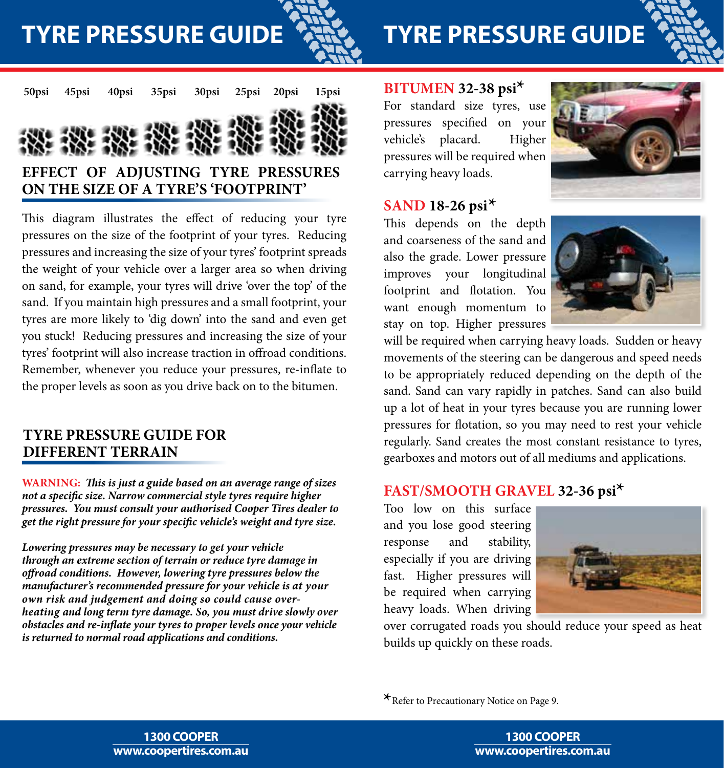**TYRE PRESSURE GUIDE**



# **TYRE PRESSURE GUIDE**





This diagram illustrates the effect of reducing your tyre pressures on the size of the footprint of your tyres. Reducing pressures and increasing the size of your tyres' footprint spreads the weight of your vehicle over a larger area so when driving on sand, for example, your tyres will drive 'over the top' of the sand. If you maintain high pressures and a small footprint, your tyres are more likely to 'dig down' into the sand and even get you stuck! Reducing pressures and increasing the size of your tyres' footprint will also increase traction in offroad conditions. Remember, whenever you reduce your pressures, re-inflate to the proper levels as soon as you drive back on to the bitumen.

#### **TYRE PRESSURE GUIDE FOR DIFFERENT TERRAIN**

**WARNING:** *This is just a guide based on an average range of sizes not a specific size. Narrow commercial style tyres require higher pressures. You must consult your authorised Cooper Tires dealer to get the right pressure for your specific vehicle's weight and tyre size.*

*Lowering pressures may be necessary to get your vehicle through an extreme section of terrain or reduce tyre damage in offroad conditions. However, lowering tyre pressures below the manufacturer's recommended pressure for your vehicle is at your own risk and judgement and doing so could cause overheating and long term tyre damage. So, you must drive slowly over obstacles and re-inflate your tyres to proper levels once your vehicle is returned to normal road applications and conditions.*

## **BITUMEN 32-38 psi \***

For standard size tyres, use pressures specified on your vehicle's placard. Higher pressures will be required when carrying heavy loads.



## **SAND 18-26 psi \***

This depends on the depth and coarseness of the sand and also the grade. Lower pressure improves your longitudinal footprint and flotation. You want enough momentum to stay on top. Higher pressures



will be required when carrying heavy loads. Sudden or heavy movements of the steering can be dangerous and speed needs to be appropriately reduced depending on the depth of the sand. Sand can vary rapidly in patches. Sand can also build up a lot of heat in your tyres because you are running lower pressures for flotation, so you may need to rest your vehicle regularly. Sand creates the most constant resistance to tyres, gearboxes and motors out of all mediums and applications.

## **FAST/SMOOTH GRAVEL 32-36 psi \***

Too low on this surface and you lose good steering response and stability, especially if you are driving fast. Higher pressures will be required when carrying heavy loads. When driving



over corrugated roads you should reduce your speed as heat builds up quickly on these roads.

**\***Refer to Precautionary Notice on Page 9.